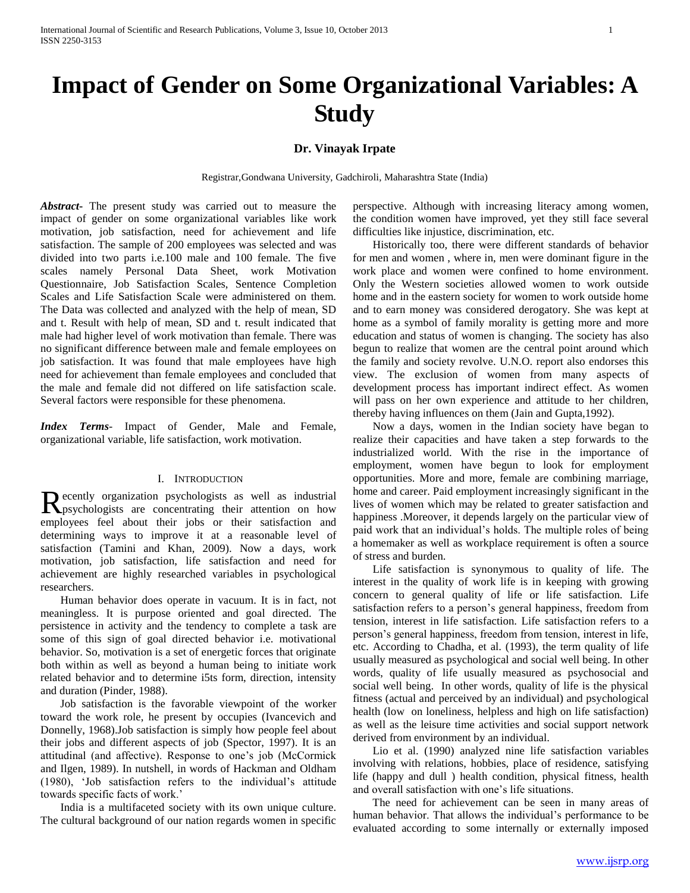# **Impact of Gender on Some Organizational Variables: A Study**

# **Dr. Vinayak Irpate**

Registrar,Gondwana University, Gadchiroli, Maharashtra State (India)

*Abstract***-** The present study was carried out to measure the impact of gender on some organizational variables like work motivation, job satisfaction, need for achievement and life satisfaction. The sample of 200 employees was selected and was divided into two parts i.e.100 male and 100 female. The five scales namely Personal Data Sheet, work Motivation Questionnaire, Job Satisfaction Scales, Sentence Completion Scales and Life Satisfaction Scale were administered on them. The Data was collected and analyzed with the help of mean, SD and t. Result with help of mean, SD and t. result indicated that male had higher level of work motivation than female. There was no significant difference between male and female employees on job satisfaction. It was found that male employees have high need for achievement than female employees and concluded that the male and female did not differed on life satisfaction scale. Several factors were responsible for these phenomena*.* 

*Index Terms*- Impact of Gender, Male and Female, organizational variable, life satisfaction, work motivation.

#### I. INTRODUCTION

ecently organization psychologists as well as industrial Recently organization psychologists as well as industrial psychologists are concentrating their attention on how employees feel about their jobs or their satisfaction and determining ways to improve it at a reasonable level of satisfaction (Tamini and Khan, 2009). Now a days, work motivation, job satisfaction, life satisfaction and need for achievement are highly researched variables in psychological researchers.

 Human behavior does operate in vacuum. It is in fact, not meaningless. It is purpose oriented and goal directed. The persistence in activity and the tendency to complete a task are some of this sign of goal directed behavior i.e. motivational behavior. So, motivation is a set of energetic forces that originate both within as well as beyond a human being to initiate work related behavior and to determine i5ts form, direction, intensity and duration (Pinder, 1988).

 Job satisfaction is the favorable viewpoint of the worker toward the work role, he present by occupies (Ivancevich and Donnelly, 1968).Job satisfaction is simply how people feel about their jobs and different aspects of job (Spector, 1997). It is an attitudinal (and affective). Response to one"s job (McCormick and Ilgen, 1989). In nutshell, in words of Hackman and Oldham (1980), "Job satisfaction refers to the individual"s attitude towards specific facts of work.'

 India is a multifaceted society with its own unique culture. The cultural background of our nation regards women in specific perspective. Although with increasing literacy among women, the condition women have improved, yet they still face several difficulties like injustice, discrimination, etc.

 Historically too, there were different standards of behavior for men and women , where in, men were dominant figure in the work place and women were confined to home environment. Only the Western societies allowed women to work outside home and in the eastern society for women to work outside home and to earn money was considered derogatory. She was kept at home as a symbol of family morality is getting more and more education and status of women is changing. The society has also begun to realize that women are the central point around which the family and society revolve. U.N.O. report also endorses this view. The exclusion of women from many aspects of development process has important indirect effect. As women will pass on her own experience and attitude to her children, thereby having influences on them (Jain and Gupta,1992).

 Now a days, women in the Indian society have began to realize their capacities and have taken a step forwards to the industrialized world. With the rise in the importance of employment, women have begun to look for employment opportunities. More and more, female are combining marriage, home and career. Paid employment increasingly significant in the lives of women which may be related to greater satisfaction and happiness .Moreover, it depends largely on the particular view of paid work that an individual"s holds. The multiple roles of being a homemaker as well as workplace requirement is often a source of stress and burden.

 Life satisfaction is synonymous to quality of life. The interest in the quality of work life is in keeping with growing concern to general quality of life or life satisfaction. Life satisfaction refers to a person"s general happiness, freedom from tension, interest in life satisfaction. Life satisfaction refers to a person"s general happiness, freedom from tension, interest in life, etc. According to Chadha, et al. (1993), the term quality of life usually measured as psychological and social well being. In other words, quality of life usually measured as psychosocial and social well being. In other words, quality of life is the physical fitness (actual and perceived by an individual) and psychological health (low on loneliness, helpless and high on life satisfaction) as well as the leisure time activities and social support network derived from environment by an individual.

 Lio et al. (1990) analyzed nine life satisfaction variables involving with relations, hobbies, place of residence, satisfying life (happy and dull ) health condition, physical fitness, health and overall satisfaction with one"s life situations.

 The need for achievement can be seen in many areas of human behavior. That allows the individual's performance to be evaluated according to some internally or externally imposed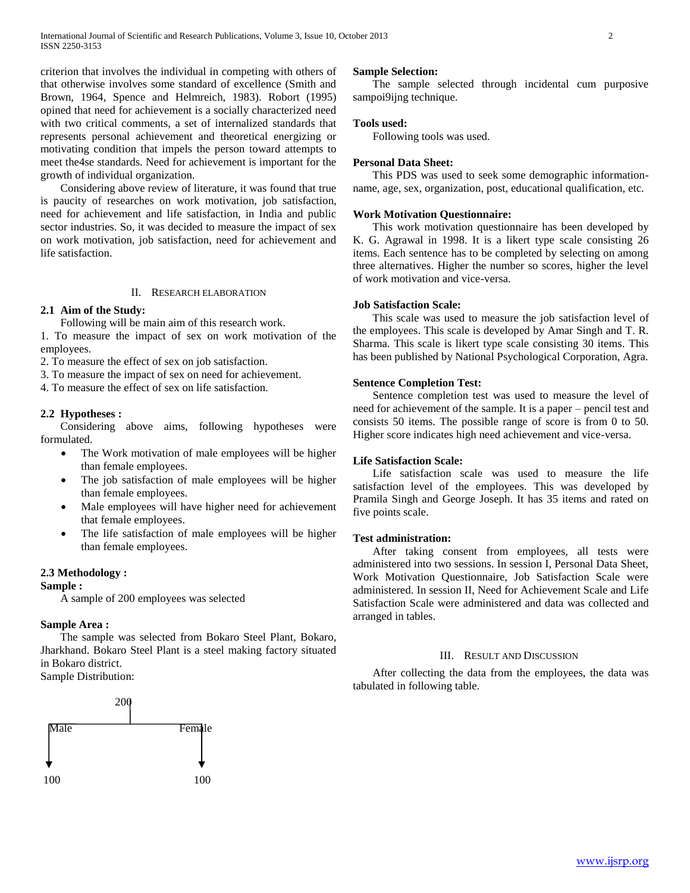criterion that involves the individual in competing with others of that otherwise involves some standard of excellence (Smith and Brown, 1964, Spence and Helmreich, 1983). Robort (1995) opined that need for achievement is a socially characterized need with two critical comments, a set of internalized standards that represents personal achievement and theoretical energizing or motivating condition that impels the person toward attempts to meet the4se standards. Need for achievement is important for the growth of individual organization.

 Considering above review of literature, it was found that true is paucity of researches on work motivation, job satisfaction, need for achievement and life satisfaction, in India and public sector industries. So, it was decided to measure the impact of sex on work motivation, job satisfaction, need for achievement and life satisfaction.

# II. RESEARCH ELABORATION

# **2.1 Aim of the Study:**

Following will be main aim of this research work.

1. To measure the impact of sex on work motivation of the employees.

2. To measure the effect of sex on job satisfaction.

3. To measure the impact of sex on need for achievement.

4. To measure the effect of sex on life satisfaction.

# **2.2 Hypotheses :**

 Considering above aims, following hypotheses were formulated.

- The Work motivation of male employees will be higher than female employees.
- The job satisfaction of male employees will be higher than female employees.
- Male employees will have higher need for achievement that female employees.
- The life satisfaction of male employees will be higher than female employees.

## **2.3 Methodology :**

#### **Sample :**

A sample of 200 employees was selected

## **Sample Area :**

 The sample was selected from Bokaro Steel Plant, Bokaro, Jharkhand. Bokaro Steel Plant is a steel making factory situated in Bokaro district.

Sample Distribution:



#### **Sample Selection:**

 The sample selected through incidental cum purposive sampoi9ijng technique.

#### **Tools used:**

Following tools was used.

#### **Personal Data Sheet:**

 This PDS was used to seek some demographic informationname, age, sex, organization, post, educational qualification, etc.

# **Work Motivation Questionnaire:**

 This work motivation questionnaire has been developed by K. G. Agrawal in 1998. It is a likert type scale consisting 26 items. Each sentence has to be completed by selecting on among three alternatives. Higher the number so scores, higher the level of work motivation and vice-versa.

# **Job Satisfaction Scale:**

 This scale was used to measure the job satisfaction level of the employees. This scale is developed by Amar Singh and T. R. Sharma. This scale is likert type scale consisting 30 items. This has been published by National Psychological Corporation, Agra.

## **Sentence Completion Test:**

 Sentence completion test was used to measure the level of need for achievement of the sample. It is a paper – pencil test and consists 50 items. The possible range of score is from 0 to 50. Higher score indicates high need achievement and vice-versa.

## **Life Satisfaction Scale:**

 Life satisfaction scale was used to measure the life satisfaction level of the employees. This was developed by Pramila Singh and George Joseph. It has 35 items and rated on five points scale.

## **Test administration:**

 After taking consent from employees, all tests were administered into two sessions. In session I, Personal Data Sheet, Work Motivation Questionnaire, Job Satisfaction Scale were administered. In session II, Need for Achievement Scale and Life Satisfaction Scale were administered and data was collected and arranged in tables.

#### III. RESULT AND DISCUSSION

 After collecting the data from the employees, the data was tabulated in following table.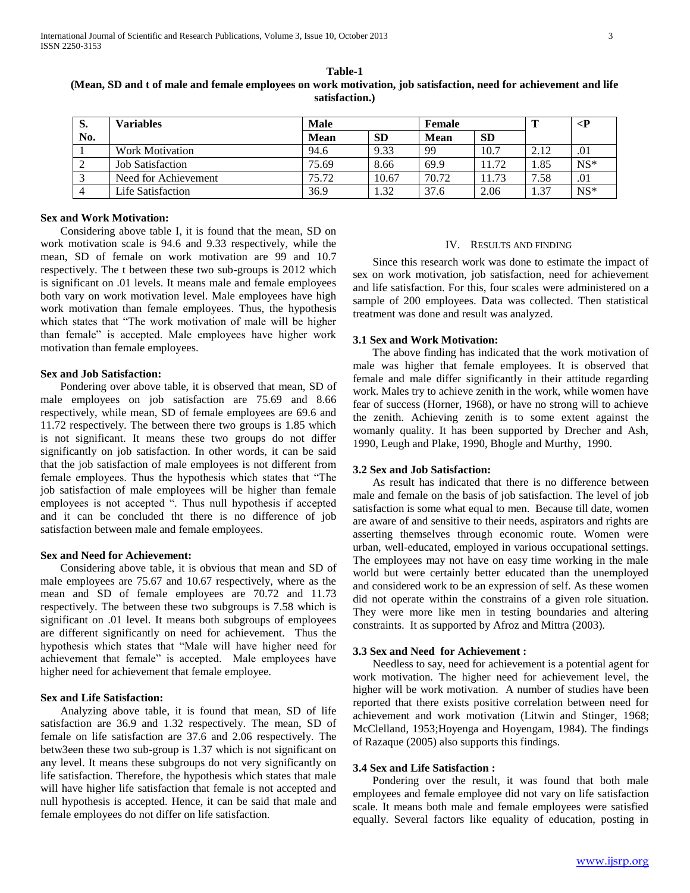| S.  | Variables               | <b>Male</b> |           | Female      |           |      | $\mathsf{P}$ |
|-----|-------------------------|-------------|-----------|-------------|-----------|------|--------------|
| No. |                         | <b>Mean</b> | <b>SD</b> | <b>Mean</b> | <b>SD</b> |      |              |
|     | Work Motivation         | 94.6        | 9.33      | 99          | 10.7      | 2.12 | .01          |
|     | <b>Job Satisfaction</b> | 75.69       | 8.66      | 69.9        | 11.72     | 1.85 | $NS*$        |
|     | Need for Achievement    | 75.72       | 10.67     | 70.72       | 11.73     | 7.58 | .01          |
|     | Life Satisfaction       | 36.9        | 1.32      | 37.6        | 2.06      | 1.37 | $NS*$        |

**Table-1 (Mean, SD and t of male and female employees on work motivation, job satisfaction, need for achievement and life satisfaction.)**

## **Sex and Work Motivation:**

 Considering above table I, it is found that the mean, SD on work motivation scale is 94.6 and 9.33 respectively, while the mean, SD of female on work motivation are 99 and 10.7 respectively. The t between these two sub-groups is 2012 which is significant on .01 levels. It means male and female employees both vary on work motivation level. Male employees have high work motivation than female employees. Thus, the hypothesis which states that "The work motivation of male will be higher than female" is accepted. Male employees have higher work motivation than female employees.

#### **Sex and Job Satisfaction:**

 Pondering over above table, it is observed that mean, SD of male employees on job satisfaction are 75.69 and 8.66 respectively, while mean, SD of female employees are 69.6 and 11.72 respectively. The between there two groups is 1.85 which is not significant. It means these two groups do not differ significantly on job satisfaction. In other words, it can be said that the job satisfaction of male employees is not different from female employees. Thus the hypothesis which states that "The job satisfaction of male employees will be higher than female employees is not accepted ". Thus null hypothesis if accepted and it can be concluded tht there is no difference of job satisfaction between male and female employees.

## **Sex and Need for Achievement:**

 Considering above table, it is obvious that mean and SD of male employees are 75.67 and 10.67 respectively, where as the mean and SD of female employees are 70.72 and 11.73 respectively. The between these two subgroups is 7.58 which is significant on .01 level. It means both subgroups of employees are different significantly on need for achievement. Thus the hypothesis which states that "Male will have higher need for achievement that female" is accepted. Male employees have higher need for achievement that female employee.

#### **Sex and Life Satisfaction:**

 Analyzing above table, it is found that mean, SD of life satisfaction are 36.9 and 1.32 respectively. The mean, SD of female on life satisfaction are 37.6 and 2.06 respectively. The betw3een these two sub-group is 1.37 which is not significant on any level. It means these subgroups do not very significantly on life satisfaction. Therefore, the hypothesis which states that male will have higher life satisfaction that female is not accepted and null hypothesis is accepted. Hence, it can be said that male and female employees do not differ on life satisfaction.

#### IV. RESULTS AND FINDING

 Since this research work was done to estimate the impact of sex on work motivation, job satisfaction, need for achievement and life satisfaction. For this, four scales were administered on a sample of 200 employees. Data was collected. Then statistical treatment was done and result was analyzed.

## **3.1 Sex and Work Motivation:**

 The above finding has indicated that the work motivation of male was higher that female employees. It is observed that female and male differ significantly in their attitude regarding work. Males try to achieve zenith in the work, while women have fear of success (Horner, 1968), or have no strong will to achieve the zenith. Achieving zenith is to some extent against the womanly quality. It has been supported by Drecher and Ash, 1990, Leugh and Plake, 1990, Bhogle and Murthy, 1990.

#### **3.2 Sex and Job Satisfaction:**

 As result has indicated that there is no difference between male and female on the basis of job satisfaction. The level of job satisfaction is some what equal to men. Because till date, women are aware of and sensitive to their needs, aspirators and rights are asserting themselves through economic route. Women were urban, well-educated, employed in various occupational settings. The employees may not have on easy time working in the male world but were certainly better educated than the unemployed and considered work to be an expression of self. As these women did not operate within the constrains of a given role situation. They were more like men in testing boundaries and altering constraints. It as supported by Afroz and Mittra (2003).

## **3.3 Sex and Need for Achievement :**

 Needless to say, need for achievement is a potential agent for work motivation. The higher need for achievement level, the higher will be work motivation. A number of studies have been reported that there exists positive correlation between need for achievement and work motivation (Litwin and Stinger, 1968; McClelland, 1953;Hoyenga and Hoyengam, 1984). The findings of Razaque (2005) also supports this findings.

#### **3.4 Sex and Life Satisfaction :**

 Pondering over the result, it was found that both male employees and female employee did not vary on life satisfaction scale. It means both male and female employees were satisfied equally. Several factors like equality of education, posting in